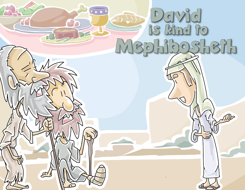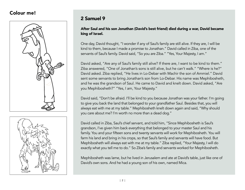# Colour me!





# 2 Samuel 9

#### After Saul and his son Jonathan (David's best friend) died during a war, David became king of Israel.

One day, David thought, "I wonder if any of Saul's family are still alive. If they are, I will be kind to them, because I made a promise to Jonathan." David called in Ziba, one of the servants of Saul's family. David said, "So you are Ziba." "Yes, Your Majesty, I am."

David asked, "Are any of Saul's family still alive? If there are, I want to be kind to them." Ziba answered, "One of Jonathan's sons is still alive, but he can't walk." "Where is he?" David asked. Ziba replied, "He lives in Lo-Debar with Machir the son of Ammiel." David sent some servants to bring Jonathan's son from Lo-Debar. His name was Mephibosheth, and he was the grandson of Saul. He came to David and knelt down. David asked, "Are you Mephibosheth?" "Yes, I am, Your Majesty."

David said, "Don't be afraid. I'll be kind to you because Jonathan was your father. I'm going to give you back the land that belonged to your grandfather Saul. Besides that, you will always eat with me at my table." Mephibosheth knelt down again and said, "Why should you care about me? I'm worth no more than a dead dog."

David called in Ziba, Saul's chief servant, and told him, "Since Mephibosheth is Saul's grandson, I've given him back everything that belonged to your master Saul and his family. You and your fifteen sons and twenty servants will work for Mephibosheth. You will farm his land and bring in his crops, so that Saul's family and servants will have food. But Mephibosheth will always eat with me at my table." Ziba replied, "Your Majesty, I will do exactly what you tell me to do." So Ziba's family and servants worked for Mephibosheth.

Mephibosheth was lame, but he lived in Jerusalem and ate at David's table, just like one of David's own sons. And he had a young son of his own, named Mica.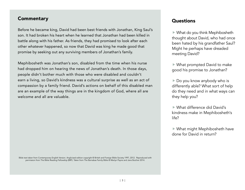#### **Commentary**

Before he became king, David had been best friends with Jonathan, King Saul's son. It had broken his heart when he learned that Jonathan had been killed in battle along with his father. As friends, they had promised to look after each other whatever happened, so now that David was king he made good that promise by seeking out any surviving members of Jonathan's family.

Mephibosheth was Jonathan's son, disabled from the time when his nurse had dropped him on hearing the news of Jonathan's death. In those days, people didn't bother much with those who were disabled and couldn't earn a living, so David's kindness was a cultural surprise as well as an act of compassion by a family friend. David's actions on behalf of this disabled man are an example of the way things are in the kingdom of God, where all are welcome and all are valuable.

**Questions** 

 What do you think Mephibosheth thought about David, who had once been hated by his grandfather Saul? Might he perhaps have dreaded meeting David?

 What prompted David to make good his promise to Jonathan?

 $\triangleright$  Do you know anybody who is differently able? What sort of help do they need and in what ways can they help you?

 What difference did David's kindness make in Mephibosheth's life?

▶ What might Mephibosheth have done for David in return?

Bible text taken from Contemporary English Version. Anglicised edition copyright © British and Foreign Bible Society 1997, 2012. Reproduced with permission from The Bible Reading Fellowship (BRF). Taken from The Barnabas Family Bible © Martyn Payne and Jane Butcher 2014.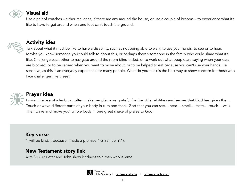

## Visual aid

Use a pair of crutches – either real ones, if there are any around the house, or use a couple of brooms – to experience what it's like to have to get around when one foot can't touch the ground.



## Activity idea

Talk about what it must be like to have a disability, such as not being able to walk, to use your hands, to see or to hear. Maybe you know someone you could talk to about this, or perhaps there's someone in the family who could share what it's like. Challenge each other to navigate around the room blindfolded, or to work out what people are saying when your ears are blocked, or to be carried when you want to move about, or to be helped to eat because you can't use your hands. Be sensitive, as this is an everyday experience for many people. What do you think is the best way to show concern for those who face challenges like these?



## Prayer idea

Losing the use of a limb can often make people more grateful for the other abilities and senses that God has given them. Touch or wave different parts of your body in turn and thank God that you can see… hear… smell… taste… touch… walk. Then wave and move your whole body in one great shake of praise to God.

# Key verse

"I will be kind… because I made a promise." (2 Samuel 9:1).

# New Testament story link

Acts 3:1-10: Peter and John show kindness to a man who is lame.